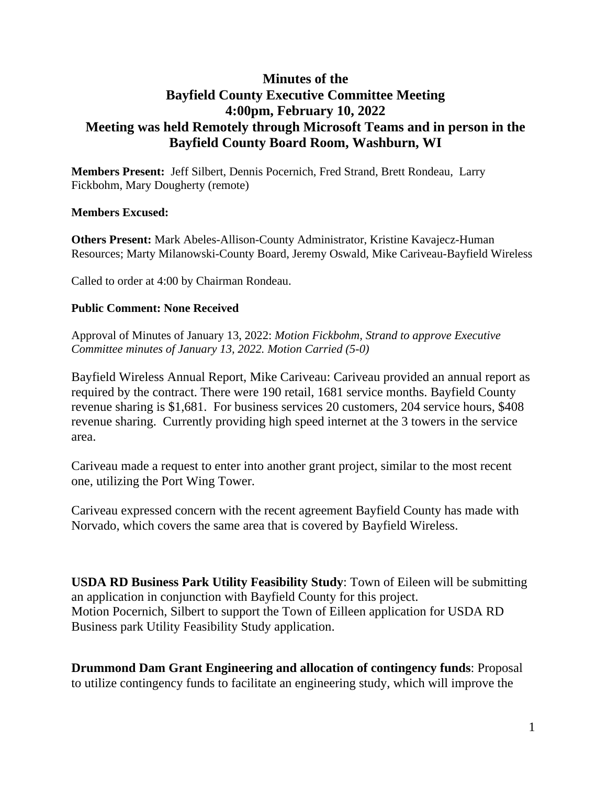## **Minutes of the Bayfield County Executive Committee Meeting 4:00pm, February 10, 2022 Meeting was held Remotely through Microsoft Teams and in person in the Bayfield County Board Room, Washburn, WI**

**Members Present:** Jeff Silbert, Dennis Pocernich, Fred Strand, Brett Rondeau, Larry Fickbohm, Mary Dougherty (remote)

## **Members Excused:**

**Others Present:** Mark Abeles-Allison-County Administrator, Kristine Kavajecz-Human Resources; Marty Milanowski-County Board, Jeremy Oswald, Mike Cariveau-Bayfield Wireless

Called to order at 4:00 by Chairman Rondeau.

## **Public Comment: None Received**

Approval of Minutes of January 13, 2022: *Motion Fickbohm, Strand to approve Executive Committee minutes of January 13, 2022. Motion Carried (5-0)*

Bayfield Wireless Annual Report, Mike Cariveau: Cariveau provided an annual report as required by the contract. There were 190 retail, 1681 service months. Bayfield County revenue sharing is \$1,681. For business services 20 customers, 204 service hours, \$408 revenue sharing. Currently providing high speed internet at the 3 towers in the service area.

Cariveau made a request to enter into another grant project, similar to the most recent one, utilizing the Port Wing Tower.

Cariveau expressed concern with the recent agreement Bayfield County has made with Norvado, which covers the same area that is covered by Bayfield Wireless.

**USDA RD Business Park Utility Feasibility Study**: Town of Eileen will be submitting an application in conjunction with Bayfield County for this project. Motion Pocernich, Silbert to support the Town of Eilleen application for USDA RD Business park Utility Feasibility Study application.

**Drummond Dam Grant Engineering and allocation of contingency funds**: Proposal to utilize contingency funds to facilitate an engineering study, which will improve the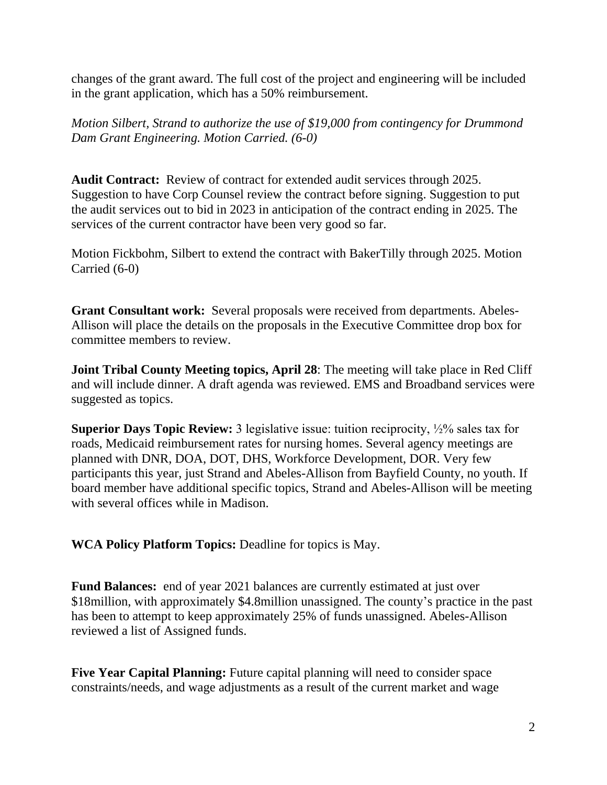changes of the grant award. The full cost of the project and engineering will be included in the grant application, which has a 50% reimbursement.

*Motion Silbert, Strand to authorize the use of \$19,000 from contingency for Drummond Dam Grant Engineering. Motion Carried. (6-0)*

**Audit Contract:** Review of contract for extended audit services through 2025. Suggestion to have Corp Counsel review the contract before signing. Suggestion to put the audit services out to bid in 2023 in anticipation of the contract ending in 2025. The services of the current contractor have been very good so far.

Motion Fickbohm, Silbert to extend the contract with BakerTilly through 2025. Motion Carried (6-0)

**Grant Consultant work:** Several proposals were received from departments. Abeles-Allison will place the details on the proposals in the Executive Committee drop box for committee members to review.

**Joint Tribal County Meeting topics, April 28**: The meeting will take place in Red Cliff and will include dinner. A draft agenda was reviewed. EMS and Broadband services were suggested as topics.

**Superior Days Topic Review:** 3 legislative issue: tuition reciprocity,  $\frac{1}{2}\%$  sales tax for roads, Medicaid reimbursement rates for nursing homes. Several agency meetings are planned with DNR, DOA, DOT, DHS, Workforce Development, DOR. Very few participants this year, just Strand and Abeles-Allison from Bayfield County, no youth. If board member have additional specific topics, Strand and Abeles-Allison will be meeting with several offices while in Madison.

**WCA Policy Platform Topics:** Deadline for topics is May.

**Fund Balances:** end of year 2021 balances are currently estimated at just over \$18million, with approximately \$4.8million unassigned. The county's practice in the past has been to attempt to keep approximately 25% of funds unassigned. Abeles-Allison reviewed a list of Assigned funds.

**Five Year Capital Planning:** Future capital planning will need to consider space constraints/needs, and wage adjustments as a result of the current market and wage